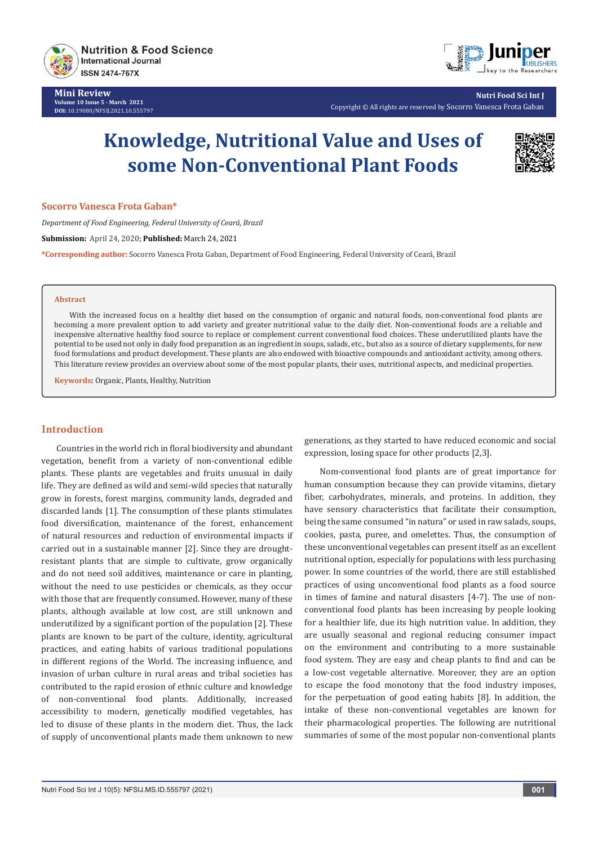

**Mini Review Volume 10 Issue 5 - March 2021 DOI:** [10.19080/NFSIJ.2021.10.5557](http://dx.doi.org/10.19080/NFSIJ.2021.10.555797)97



**Nutri Food Sci Int J** Copyright © All rights are reserved by Socorro Vanesca Frota Gaban

# **Knowledge, Nutritional Value and Uses of some Non-Conventional Plant Foods**



#### **Socorro Vanesca Frota Gaban\***

*Department of Food Engineering, Federal University of Ceará, Brazil*

**Submission:** April 24, 2020; **Published:** March 24, 2021

**\*Corresponding author:** Socorro Vanesca Frota Gaban, Department of Food Engineering, Federal University of Ceará, Brazil

#### **Abstract**

With the increased focus on a healthy diet based on the consumption of organic and natural foods, non-conventional food plants are becoming a more prevalent option to add variety and greater nutritional value to the daily diet. Non-conventional foods are a reliable and inexpensive alternative healthy food source to replace or complement current conventional food choices. These underutilized plants have the potential to be used not only in daily food preparation as an ingredient in soups, salads, etc., but also as a source of dietary supplements, for new food formulations and product development. These plants are also endowed with bioactive compounds and antioxidant activity, among others. This literature review provides an overview about some of the most popular plants, their uses, nutritional aspects, and medicinal properties.

**Keywords:** Organic, Plants, Healthy, Nutrition

# **Introduction**

Countries in the world rich in floral biodiversity and abundant vegetation, benefit from a variety of non-conventional edible plants. These plants are vegetables and fruits unusual in daily life. They are defined as wild and semi-wild species that naturally grow in forests, forest margins, community lands, degraded and discarded lands [1]. The consumption of these plants stimulates food diversification, maintenance of the forest, enhancement of natural resources and reduction of environmental impacts if carried out in a sustainable manner [2]. Since they are droughtresistant plants that are simple to cultivate, grow organically and do not need soil additives, maintenance or care in planting, without the need to use pesticides or chemicals, as they occur with those that are frequently consumed. However, many of these plants, although available at low cost, are still unknown and underutilized by a significant portion of the population [2]. These plants are known to be part of the culture, identity, agricultural practices, and eating habits of various traditional populations in different regions of the World. The increasing influence, and invasion of urban culture in rural areas and tribal societies has contributed to the rapid erosion of ethnic culture and knowledge of non-conventional food plants. Additionally, increased accessibility to modern, genetically modified vegetables, has led to disuse of these plants in the modern diet. Thus, the lack of supply of unconventional plants made them unknown to new

generations, as they started to have reduced economic and social expression, losing space for other products [2,3].

Nom-conventional food plants are of great importance for human consumption because they can provide vitamins, dietary fiber, carbohydrates, minerals, and proteins. In addition, they have sensory characteristics that facilitate their consumption, being the same consumed "in natura" or used in raw salads, soups, cookies, pasta, puree, and omelettes. Thus, the consumption of these unconventional vegetables can present itself as an excellent nutritional option, especially for populations with less purchasing power. In some countries of the world, there are still established practices of using unconventional food plants as a food source in times of famine and natural disasters [4-7]. The use of nonconventional food plants has been increasing by people looking for a healthier life, due its high nutrition value. In addition, they are usually seasonal and regional reducing consumer impact on the environment and contributing to a more sustainable food system. They are easy and cheap plants to find and can be a low-cost vegetable alternative. Moreover, they are an option to escape the food monotony that the food industry imposes, for the perpetuation of good eating habits [8]. In addition, the intake of these non-conventional vegetables are known for their pharmacological properties. The following are nutritional summaries of some of the most popular non-conventional plants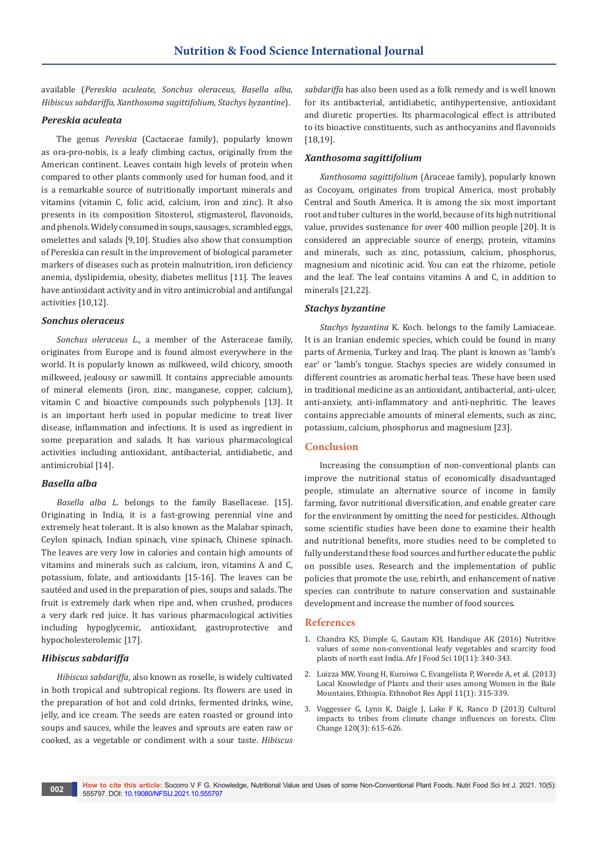available (*Pereskia aculeate, Sonchus oleraceus, Basella alba, Hibiscus sabdariffa, Xanthosoma sagittifolium, Stachys byzantine*).

## *Pereskia aculeata*

The genus *Pereskia* (Cactaceae family), popularly known as ora-pro-nobis, is a leafy climbing cactus, originally from the American continent. Leaves contain high levels of protein when compared to other plants commonly used for human food, and it is a remarkable source of nutritionally important minerals and vitamins (vitamin C, folic acid, calcium, iron and zinc). It also presents in its composition Sitosterol, stigmasterol, flavonoids, and phenols. Widely consumed in soups, sausages, scrambled eggs, omelettes and salads [9,10]. Studies also show that consumption of Pereskia can result in the improvement of biological parameter markers of diseases such as protein malnutrition, iron deficiency anemia, dyslipidemia, obesity, diabetes mellitus [11]. The leaves have antioxidant activity and in vitro antimicrobial and antifungal activities [10,12].

## *Sonchus oleraceus*

*Sonchus oleraceus L*., a member of the Asteraceae family, originates from Europe and is found almost everywhere in the world. It is popularly known as milkweed, wild chicory, smooth milkweed, jealousy or sawmill. It contains appreciable amounts of mineral elements (iron, zinc, manganese, copper, calcium), vitamin C and bioactive compounds such polyphenols [13]. It is an important herb used in popular medicine to treat liver disease, inflammation and infections. It is used as ingredient in some preparation and salads. It has various pharmacological activities including antioxidant, antibacterial, antidiabetic, and antimicrobial [14].

# *Basella alba*

*Basella alba L*. belongs to the family Basellaceae. [15]. Originating in India, it is a fast-growing perennial vine and extremely heat tolerant. It is also known as the Malabar spinach, Ceylon spinach, Indian spinach, vine spinach, Chinese spinach. The leaves are very low in calories and contain high amounts of vitamins and minerals such as calcium, iron, vitamins A and C, potassium, folate, and antioxidants [15-16]. The leaves can be sautéed and used in the preparation of pies, soups and salads. The fruit is extremely dark when ripe and, when crushed, produces a very dark red juice. It has various pharmacological activities including hypoglycemic, antioxidant, gastroprotective and hypocholesterolemic [17].

### *Hibiscus sabdariffa*

*Hibiscus sabdariffa*, also known as roselle, is widely cultivated in both tropical and subtropical regions. Its flowers are used in the preparation of hot and cold drinks, fermented drinks, wine, jelly, and ice cream. The seeds are eaten roasted or ground into soups and sauces, while the leaves and sprouts are eaten raw or cooked, as a vegetable or condiment with a sour taste. *Hibiscus*  *sabdariffa* has also been used as a folk remedy and is well known for its antibacterial, antidiabetic, antihypertensive, antioxidant and diuretic properties. Its pharmacological effect is attributed to its bioactive constituents, such as anthocyanins and flavonoids [18,19].

#### *Xanthosoma sagittifolium*

*Xanthosoma sagittifolium* (Araceae family), popularly known as Cocoyam, originates from tropical America, most probably Central and South America. It is among the six most important root and tuber cultures in the world, because of its high nutritional value, provides sustenance for over 400 million people [20]. It is considered an appreciable source of energy, protein, vitamins and minerals, such as zinc, potassium, calcium, phosphorus, magnesium and nicotinic acid. You can eat the rhizome, petiole and the leaf. The leaf contains vitamins A and C, in addition to minerals [21,22].

#### *Stachys byzantine*

*Stachys byzantina* K. Koch. belongs to the family Lamiaceae. It is an Iranian endemic species, which could be found in many parts of Armenia, Turkey and Iraq. The plant is known as 'lamb's ear' or 'lamb's tongue. Stachys species are widely consumed in different countries as aromatic herbal teas. These have been used in traditional medicine as an antioxidant, antibacterial, anti-ulcer, anti-anxiety, anti-inflammatory and anti-nephritic. The leaves contains appreciable amounts of mineral elements, such as zinc, potassium, calcium, phosphorus and magnesium [23].

# **Conclusion**

Increasing the consumption of non-conventional plants can improve the nutritional status of economically disadvantaged people, stimulate an alternative source of income in family farming, favor nutritional diversification, and enable greater care for the environment by omitting the need for pesticides. Although some scientific studies have been done to examine their health and nutritional benefits, more studies need to be completed to fully understand these food sources and further educate the public on possible uses. Research and the implementation of public policies that promote the use, rebirth, and enhancement of native species can contribute to nature conservation and sustainable development and increase the number of food sources.

## **References**

- 1. Chandra KS, Dimple G, Gautam KH, Handique AK (2016) Nutritive values of some non-conventional leafy vegetables and scarcity food plants of north east India. Afr J Food Sci 10(11): 340-343.
- 2. [Luizza MW, Young H, Kuroiwa C, Evangelista P, Worede A, et al. \(2013\)](https://scholarspace.manoa.hawaii.edu/bitstream/10125/33985/1/Ethnobotany2013_19.pdf)  [Local Knowledge of Plants and their uses among Women in the Bale](https://scholarspace.manoa.hawaii.edu/bitstream/10125/33985/1/Ethnobotany2013_19.pdf)  [Mountains, Ethiopia. Ethnobot Res Appl 11\(1\): 315-339.](https://scholarspace.manoa.hawaii.edu/bitstream/10125/33985/1/Ethnobotany2013_19.pdf)
- 3. [Voggesser G, Lynn K, Daigle J, Lake F K, Ranco D \(2013\) Cultural](https://www.fs.fed.us/pnw/pubs/journals/pnw_2014_voggesser.pdf)  [impacts to tribes from climate change influences on forests. Clim](https://www.fs.fed.us/pnw/pubs/journals/pnw_2014_voggesser.pdf)  [Change 120\(3\): 615-626.](https://www.fs.fed.us/pnw/pubs/journals/pnw_2014_voggesser.pdf)